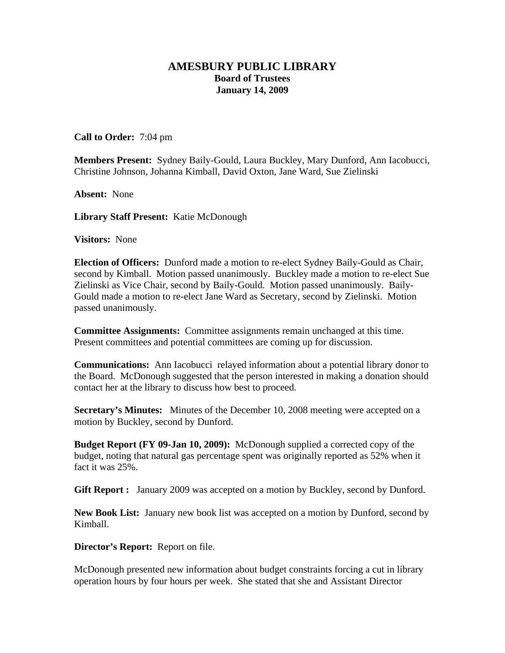## **AMESBURY PUBLIC LIBRARY Board of Trustees January 14, 2009**

**Call to Order:** 7:04 pm

**Members Present:** Sydney Baily-Gould, Laura Buckley, Mary Dunford, Ann Iacobucci, Christine Johnson, Johanna Kimball, David Oxton, Jane Ward, Sue Zielinski

**Absent:** None

**Library Staff Present:** Katie McDonough

**Visitors:** None

**Election of Officers:** Dunford made a motion to re-elect Sydney Baily-Gould as Chair, second by Kimball. Motion passed unanimously. Buckley made a motion to re-elect Sue Zielinski as Vice Chair, second by Baily-Gould. Motion passed unanimously. Baily-Gould made a motion to re-elect Jane Ward as Secretary, second by Zielinski. Motion passed unanimously.

**Committee Assignments:** Committee assignments remain unchanged at this time. Present committees and potential committees are coming up for discussion.

**Communications:** Ann Iacobucci relayed information about a potential library donor to the Board. McDonough suggested that the person interested in making a donation should contact her at the library to discuss how best to proceed.

**Secretary's Minutes:** Minutes of the December 10, 2008 meeting were accepted on a motion by Buckley, second by Dunford.

**Budget Report (FY 09-Jan 10, 2009):** McDonough supplied a corrected copy of the budget, noting that natural gas percentage spent was originally reported as 52% when it fact it was 25%.

**Gift Report :** January 2009 was accepted on a motion by Buckley, second by Dunford.

**New Book List:** January new book list was accepted on a motion by Dunford, second by Kimball.

**Director's Report:** Report on file.

McDonough presented new information about budget constraints forcing a cut in library operation hours by four hours per week. She stated that she and Assistant Director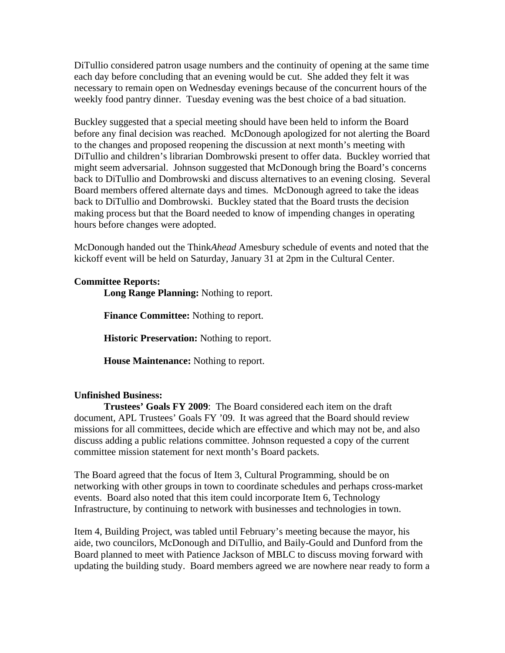DiTullio considered patron usage numbers and the continuity of opening at the same time each day before concluding that an evening would be cut. She added they felt it was necessary to remain open on Wednesday evenings because of the concurrent hours of the weekly food pantry dinner. Tuesday evening was the best choice of a bad situation.

Buckley suggested that a special meeting should have been held to inform the Board before any final decision was reached. McDonough apologized for not alerting the Board to the changes and proposed reopening the discussion at next month's meeting with DiTullio and children's librarian Dombrowski present to offer data. Buckley worried that might seem adversarial. Johnson suggested that McDonough bring the Board's concerns back to DiTullio and Dombrowski and discuss alternatives to an evening closing. Several Board members offered alternate days and times. McDonough agreed to take the ideas back to DiTullio and Dombrowski. Buckley stated that the Board trusts the decision making process but that the Board needed to know of impending changes in operating hours before changes were adopted.

McDonough handed out the Think*Ahead* Amesbury schedule of events and noted that the kickoff event will be held on Saturday, January 31 at 2pm in the Cultural Center.

## **Committee Reports:**

 **Long Range Planning:** Nothing to report.

**Finance Committee:** Nothing to report.

**Historic Preservation:** Nothing to report.

 **House Maintenance:** Nothing to report.

## **Unfinished Business:**

 **Trustees' Goals FY 2009**: The Board considered each item on the draft document, APL Trustees' Goals FY '09. It was agreed that the Board should review missions for all committees, decide which are effective and which may not be, and also discuss adding a public relations committee. Johnson requested a copy of the current committee mission statement for next month's Board packets.

The Board agreed that the focus of Item 3, Cultural Programming, should be on networking with other groups in town to coordinate schedules and perhaps cross-market events. Board also noted that this item could incorporate Item 6, Technology Infrastructure, by continuing to network with businesses and technologies in town.

Item 4, Building Project, was tabled until February's meeting because the mayor, his aide, two councilors, McDonough and DiTullio, and Baily-Gould and Dunford from the Board planned to meet with Patience Jackson of MBLC to discuss moving forward with updating the building study. Board members agreed we are nowhere near ready to form a